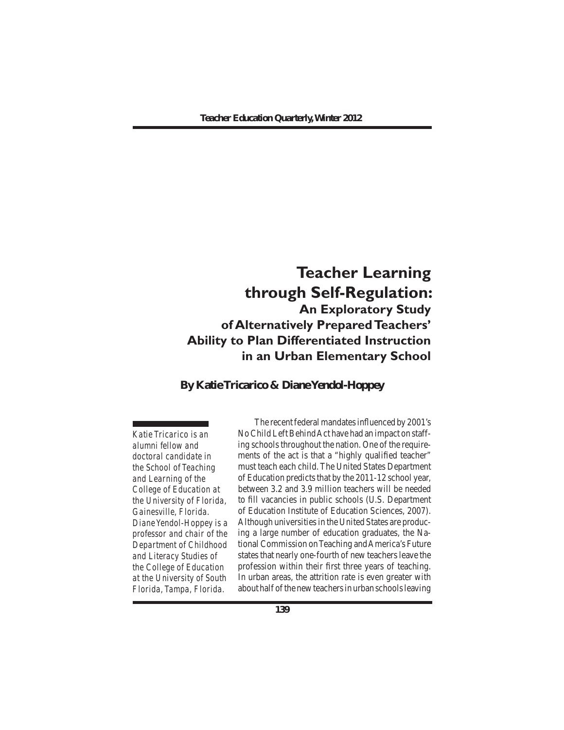# **Teacher Learning through Self-Regulation: An Exploratory Study of Alternatively Prepared Teachers' Ability to Plan Differentiated Instruction in an Urban Elementary School**

**By Katie Tricarico & Diane Yendol-Hoppey**

*Katie Tricarico is an alumni fellow and doctoral candidate in the School of Teaching and Learning of the College of Education at the University of Florida, Gainesville, Florida. Diane Yendol-Hoppey is a professor and chair of the Department of Childhood and Literacy Studies of the College of Education at the University of South Florida, Tampa, Florida.*

The recent federal mandates influenced by 2001's No Child Left Behind Act have had an impact on staffing schools throughout the nation. One of the requirements of the act is that a "highly qualified teacher" must teach each child. The United States Department of Education predicts that by the 2011-12 school year, between 3.2 and 3.9 million teachers will be needed to fill vacancies in public schools (U.S. Department of Education Institute of Education Sciences, 2007). Although universities in the United States are producing a large number of education graduates, the National Commission onTeaching andAmerica's Future states that nearly one-fourth of new teachers leave the profession within their first three years of teaching. In urban areas, the attrition rate is even greater with about half of the new teachers in urban schools leaving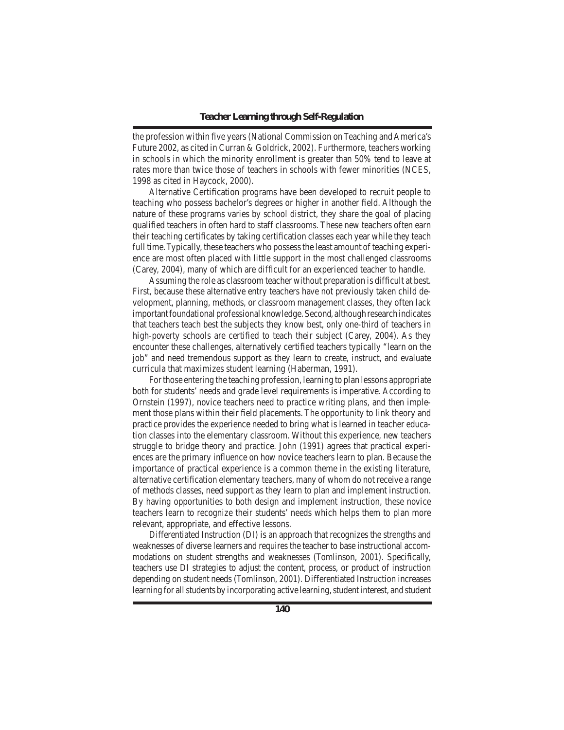the profession within five years (National Commission on Teaching and America's Future 2002, as cited in Curran & Goldrick, 2002). Furthermore, teachers working in schools in which the minority enrollment is greater than 50% tend to leave at rates more than twice those of teachers in schools with fewer minorities (NCES, 1998 as cited in Haycock, 2000).

 Alternative Certification programs have been developed to recruit people to teaching who possess bachelor's degrees or higher in another field. Although the nature of these programs varies by school district, they share the goal of placing qualified teachers in often hard to staff classrooms. These new teachers often earn their teaching certificates by taking certification classes each year while they teach full time. Typically, these teachers who possess the least amount of teaching experience are most often placed with little support in the most challenged classrooms (Carey, 2004), many of which are difficult for an experienced teacher to handle.

 Assuming the role as classroom teacher without preparation is difficult at best. First, because these alternative entry teachers have not previously taken child development, planning, methods, or classroom management classes, they often lack important foundational professional knowledge. Second, although research indicates that teachers teach best the subjects they know best, only one-third of teachers in high-poverty schools are certified to teach their subject (Carey, 2004). As they encounter these challenges, alternatively certified teachers typically "learn on the job" and need tremendous support as they learn to create, instruct, and evaluate curricula that maximizes student learning (Haberman, 1991).

 Forthose entering the teaching profession, learning to plan lessons appropriate both for students' needs and grade level requirements is imperative. According to Ornstein (1997), novice teachers need to practice writing plans, and then implement those plans within their field placements. The opportunity to link theory and practice provides the experience needed to bring what is learned in teacher education classes into the elementary classroom. Without this experience, new teachers struggle to bridge theory and practice. John (1991) agrees that practical experiences are the primary influence on how novice teachers learn to plan. Because the importance of practical experience is a common theme in the existing literature, alternative certification elementary teachers, many of whom do not receive a range of methods classes, need support as they learn to plan and implement instruction. By having opportunities to both design and implement instruction, these novice teachers learn to recognize their students' needs which helps them to plan more relevant, appropriate, and effective lessons.

 Differentiated Instruction (DI) is an approach that recognizes the strengths and weaknesses of diverse learners and requires the teacher to base instructional accommodations on student strengths and weaknesses (Tomlinson, 2001). Specifically, teachers use DI strategies to adjust the content, process, or product of instruction depending on student needs (Tomlinson, 2001). Differentiated Instruction increases learning for all students by incorporating active learning, student interest, and student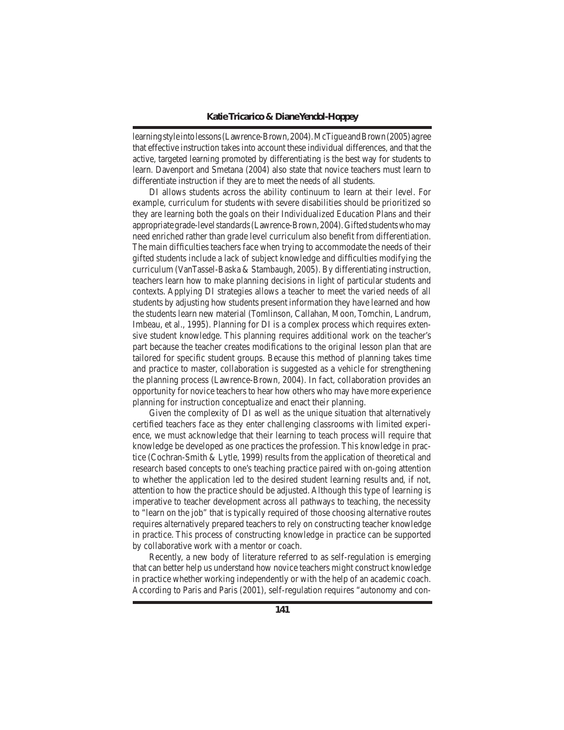learning style into lessons (Lawrence-Brown, 2004). McTigue and Brown (2005) agree that effective instruction takes into account these individual differences, and that the active, targeted learning promoted by differentiating is the best way for students to learn. Davenport and Smetana (2004) also state that novice teachers must learn to differentiate instruction if they are to meet the needs of all students.

 DI allows students across the ability continuum to learn at their level. For example, curriculum for students with severe disabilities should be prioritized so they are learning both the goals on their Individualized Education Plans and their appropriate grade-level standards (Lawrence-Brown, 2004). Gifted students who may need enriched rather than grade level curriculum also benefit from differentiation. The main difficulties teachers face when trying to accommodate the needs of their gifted students include a lack of subject knowledge and difficulties modifying the curriculum (VanTassel-Baska & Stambaugh, 2005). By differentiating instruction, teachers learn how to make planning decisions in light of particular students and contexts. Applying DI strategies allows a teacher to meet the varied needs of all students by adjusting how students present information they have learned and how the students learn new material (Tomlinson, Callahan, Moon, Tomchin, Landrum, Imbeau, et al., 1995). Planning for DI is a complex process which requires extensive student knowledge. This planning requires additional work on the teacher's part because the teacher creates modifications to the original lesson plan that are tailored for specific student groups. Because this method of planning takes time and practice to master, collaboration is suggested as a vehicle for strengthening the planning process (Lawrence-Brown, 2004). In fact, collaboration provides an opportunity for novice teachers to hear how others who may have more experience planning for instruction conceptualize and enact their planning.

 Given the complexity of DI as well as the unique situation that alternatively certified teachers face as they enter challenging classrooms with limited experience, we must acknowledge that their learning to teach process will require that knowledge be developed as one practices the profession. This knowledge *in* practice (Cochran-Smith & Lytle, 1999) results from the application of theoretical and research based concepts to one's teaching practice paired with on-going attention to whether the application led to the desired student learning results and, if not, attention to how the practice should be adjusted. Although this type of learning is imperative to teacher development across all pathways to teaching, the necessity to "learn on the job" that is typically required of those choosing alternative routes requires alternatively prepared teachers to rely on constructing teacher knowledge in practice. This process of constructing knowledge *in* practice can be supported by collaborative work with a mentor or coach.

 Recently, a new body of literature referred to as self-regulation is emerging that can better help us understand how novice teachers might construct knowledge in practice whether working independently or with the help of an academic coach. According to Paris and Paris (2001), self-regulation requires "autonomy and con-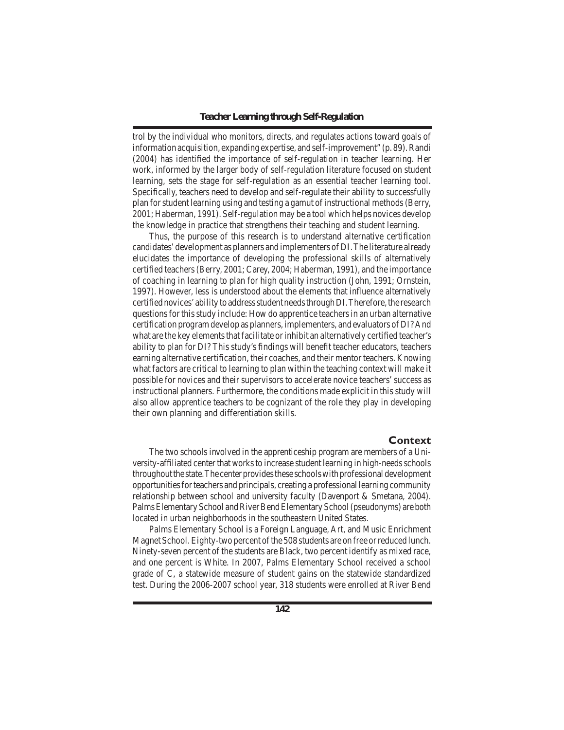trol by the individual who monitors, directs, and regulates actions toward goals of information acquisition, expanding expertise, and self-improvement" (p. 89).Randi (2004) has identified the importance of self-regulation in teacher learning. Her work, informed by the larger body of self-regulation literature focused on student learning, sets the stage for self-regulation as an essential teacher learning tool. Specifically, teachers need to develop and self-regulate their ability to successfully plan forstudent learning using and testing a gamut of instructional methods(Berry, 2001; Haberman, 1991). Self-regulation may be a tool which helps novices develop the knowledge *in* practice that strengthens their teaching and student learning.

 Thus, the purpose of this research is to understand alternative certification candidates'development as planners and implementers of DI.The literature already elucidates the importance of developing the professional skills of alternatively certified teachers(Berry, 2001; Carey, 2004; Haberman, 1991), and the importance of coaching in learning to plan for high quality instruction (John, 1991; Ornstein, 1997). However, less is understood about the elements that influence alternatively certified novices' ability to address student needs through DI. Therefore, the research questionsfor thisstudy include: How do apprentice teachersin an urban alternative certification program develop as planners, implementers, and evaluators of DI? And what are the key elements that facilitate or inhibit an alternatively certified teacher's ability to plan for DI? This study's findings will benefit teacher educators, teachers earning alternative certification, their coaches, and their mentor teachers. Knowing what factors are critical to learning to plan within the teaching context will make it possible for novices and their supervisors to accelerate novice teachers'success as instructional planners. Furthermore, the conditions made explicit in this study will also allow apprentice teachers to be cognizant of the role they play in developing their own planning and differentiation skills.

## **Context**

 The two schools involved in the apprenticeship program are members of a University-affiliated center that works to increase student learning in high-needs schools throughout the state. The center provides these schools with professional development opportunitiesforteachers and principals, creating a professional learning community relationship between school and university faculty (Davenport & Smetana, 2004). Palms Elementary School and River Bend Elementary School (pseudonyms) are both located in urban neighborhoods in the southeastern United States.

 Palms Elementary School is a Foreign Language, Art, and Music Enrichment Magnet School. Eighty-two percent of the 508 students are on free or reduced lunch. Ninety-seven percent of the students are Black, two percent identify as mixed race, and one percent is White. In 2007, Palms Elementary School received a school grade of C, a statewide measure of student gains on the statewide standardized test. During the 2006-2007 school year, 318 students were enrolled at River Bend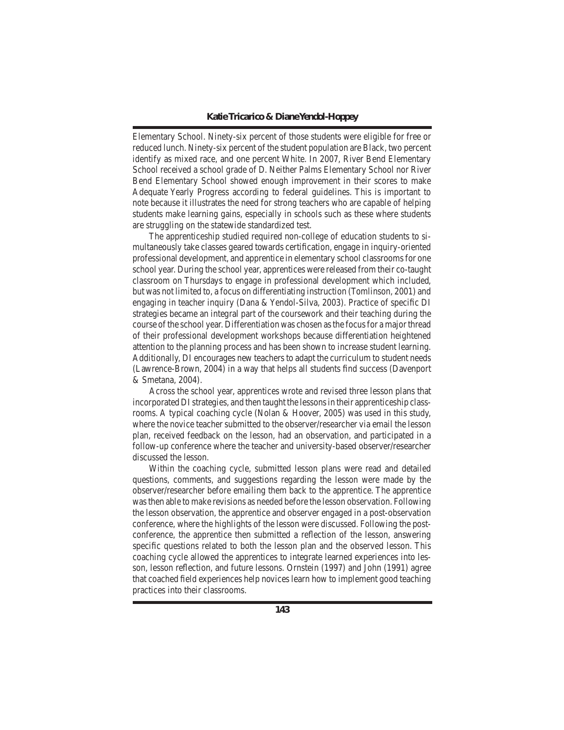Elementary School. Ninety-six percent of those students were eligible for free or reduced lunch. Ninety-six percent of the student population are Black, two percent identify as mixed race, and one percent White. In 2007, River Bend Elementary School received a school grade of D. Neither Palms Elementary School nor River Bend Elementary School showed enough improvement in their scores to make Adequate Yearly Progress according to federal guidelines. This is important to note because it illustrates the need for strong teachers who are capable of helping students make learning gains, especially in schools such as these where students are struggling on the statewide standardized test.

 The apprenticeship studied required non-college of education students to simultaneously take classes geared towards certification, engage in inquiry-oriented professional development, and apprentice in elementary school classroomsfor one school year. During the school year, apprentices were released from their co-taught classroom on Thursdays to engage in professional development which included, but was not limited to, a focus on differentiating instruction (Tomlinson, 2001) and engaging in teacher inquiry (Dana & Yendol-Silva, 2003). Practice of specific DI strategies became an integral part of the coursework and their teaching during the course of the school year. Differentiation was chosen as the focus for a major thread of their professional development workshops because differentiation heightened attention to the planning process and has been shown to increase student learning. Additionally, DI encourages new teachers to adapt the curriculum to student needs (Lawrence-Brown, 2004) in a way that helps all students find success (Davenport & Smetana, 2004).

 Across the school year, apprentices wrote and revised three lesson plans that incorporated DI strategies, and then taught the lessons in their apprenticeship classrooms. A typical coaching cycle (Nolan & Hoover, 2005) was used in this study, where the novice teacher submitted to the observer/researcher via email the lesson plan, received feedback on the lesson, had an observation, and participated in a follow-up conference where the teacher and university-based observer/researcher discussed the lesson.

 Within the coaching cycle, submitted lesson plans were read and detailed questions, comments, and suggestions regarding the lesson were made by the observer/researcher before emailing them back to the apprentice. The apprentice wasthen able to make revisions as needed before the lesson observation. Following the lesson observation, the apprentice and observer engaged in a post-observation conference, where the highlights of the lesson were discussed. Following the postconference, the apprentice then submitted a reflection of the lesson, answering specific questions related to both the lesson plan and the observed lesson. This coaching cycle allowed the apprentices to integrate learned experiences into lesson, lesson reflection, and future lessons. Ornstein (1997) and John (1991) agree that coached field experiences help novices learn how to implement good teaching practices into their classrooms.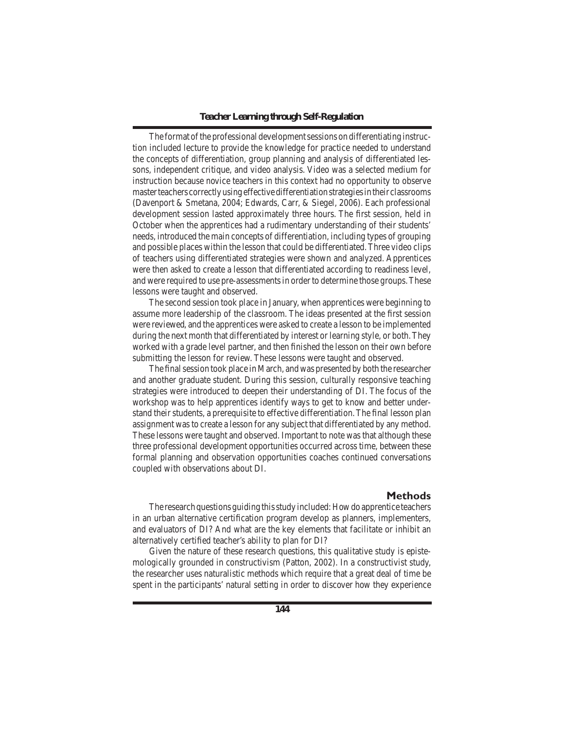## *Teacher Learning through Self-Regulation*

The format of the professional development sessions on differentiating instruction included lecture to provide the knowledge for practice needed to understand the concepts of differentiation, group planning and analysis of differentiated lessons, independent critique, and video analysis. Video was a selected medium for instruction because novice teachers in this context had no opportunity to observe masterteachers correctlyusingeffectivedifferentiationstrategiesintheir classrooms (Davenport & Smetana, 2004; Edwards, Carr, & Siegel, 2006). Each professional development session lasted approximately three hours. The first session, held in October when the apprentices had a rudimentary understanding of their students' needs, introduced the main concepts of differentiation, including types of grouping and possible places within the lesson that could be differentiated.Three video clips of teachers using differentiated strategies were shown and analyzed. Apprentices were then asked to create a lesson that differentiated according to readiness level, and were required to use pre-assessmentsin order to determine those groups.These lessons were taught and observed.

 The second session took place in January, when apprentices were beginning to assume more leadership of the classroom. The ideas presented at the first session were reviewed, and the apprentices were asked to create a lesson to be implemented during the next month that differentiated by interest or learning style, or both.They worked with a grade level partner, and then finished the lesson on their own before submitting the lesson for review. These lessons were taught and observed.

The final session took place in March, and was presented by both the researcher and another graduate student. During this session, culturally responsive teaching strategies were introduced to deepen their understanding of DI. The focus of the workshop was to help apprentices identify ways to get to know and better understand their students, a prerequisite to effective differentiation. The final lesson plan assignment wasto create a lesson for any subject that differentiated by any method. These lessons were taught and observed. Important to note was that although these three professional development opportunities occurred across time, between these formal planning and observation opportunities coaches continued conversations coupled with observations about DI.

## **Methods**

The research questions guiding this study included: How do apprentice teachers in an urban alternative certification program develop as planners, implementers, and evaluators of DI? And what are the key elements that facilitate or inhibit an alternatively certified teacher's ability to plan for DI?

 Given the nature of these research questions, this qualitative study is epistemologically grounded in constructivism (Patton, 2002). In a constructivist study, the researcher uses naturalistic methods which require that a great deal of time be spent in the participants' natural setting in order to discover how they experience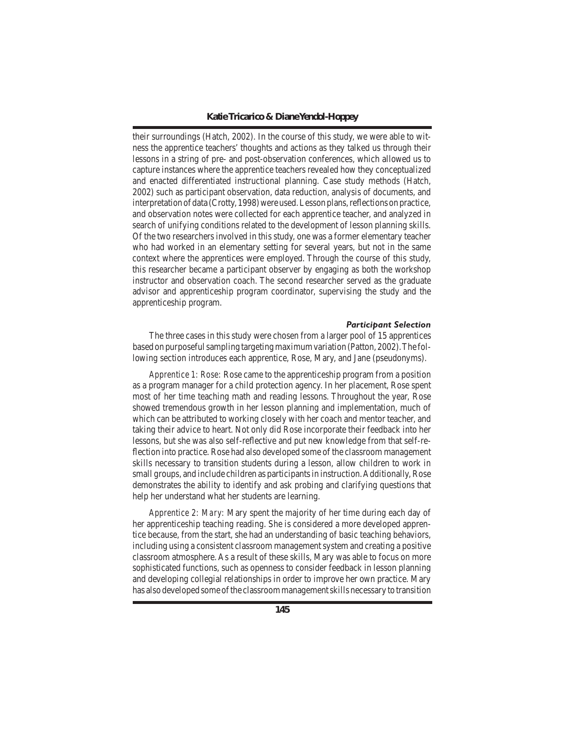their surroundings (Hatch, 2002). In the course of this study, we were able to witness the apprentice teachers' thoughts and actions as they talked us through their lessons in a string of pre- and post-observation conferences, which allowed us to capture instances where the apprentice teachers revealed how they conceptualized and enacted differentiated instructional planning. Case study methods (Hatch, 2002) such as participant observation, data reduction, analysis of documents, and interpretation of data (Crotty, 1998) were used. Lesson plans, reflections on practice, and observation notes were collected for each apprentice teacher, and analyzed in search of unifying conditions related to the development of lesson planning skills. Of the two researchers involved in this study, one was a former elementary teacher who had worked in an elementary setting for several years, but not in the same context where the apprentices were employed. Through the course of this study, this researcher became a participant observer by engaging as both the workshop instructor and observation coach. The second researcher served as the graduate advisor and apprenticeship program coordinator, supervising the study and the apprenticeship program.

#### *Participant Selection*

The three cases in this study were chosen from a larger pool of 15 apprentices based on purposeful sampling targeting maximum variation (Patton, 2002). The following section introduces each apprentice, Rose, Mary, and Jane (pseudonyms).

*Apprentice 1: Rose:* Rose came to the apprenticeship program from a position as a program manager for a child protection agency. In her placement, Rose spent most of her time teaching math and reading lessons. Throughout the year, Rose showed tremendous growth in her lesson planning and implementation, much of which can be attributed to working closely with her coach and mentor teacher, and taking their advice to heart. Not only did Rose incorporate their feedback into her lessons, but she was also self-reflective and put new knowledge from that self-reflection into practice. Rose had also developed some of the classroom management skills necessary to transition students during a lesson, allow children to work in small groups, and include children as participants in instruction. Additionally, Rose demonstrates the ability to identify and ask probing and clarifying questions that help her understand what her students are learning.

*Apprentice 2: Mary:* Mary spent the majority of her time during each day of her apprenticeship teaching reading. She is considered a more developed apprentice because, from the start, she had an understanding of basic teaching behaviors, including using a consistent classroom management system and creating a positive classroom atmosphere. As a result of these skills, Mary was able to focus on more sophisticated functions, such as openness to consider feedback in lesson planning and developing collegial relationships in order to improve her own practice. Mary has also developed some ofthe classroommanagementskills necessary to transition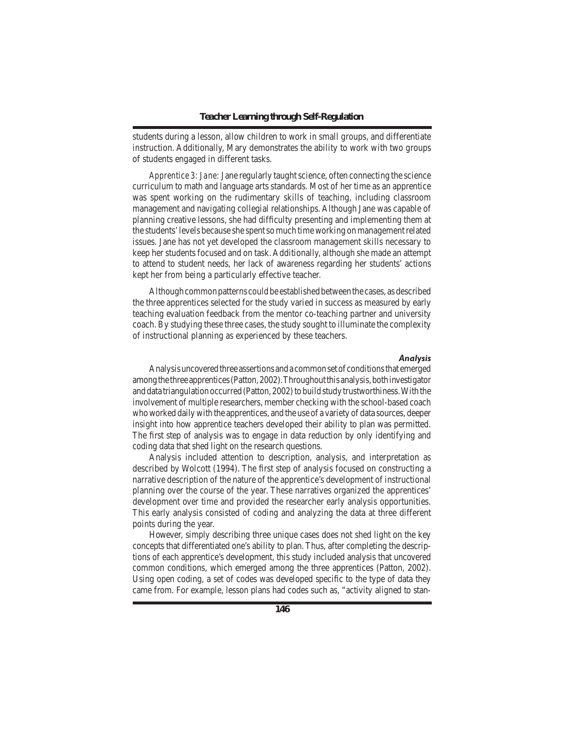students during a lesson, allow children to work in small groups, and differentiate instruction. Additionally, Mary demonstrates the ability to work with two groups of students engaged in different tasks.

*Apprentice 3: Jane: Jane regularly taught science, often connecting the science* curriculum to math and language arts standards. Most of her time as an apprentice was spent working on the rudimentary skills of teaching, including classroom management and navigating collegial relationships. Although Jane was capable of planning creative lessons, she had difficulty presenting and implementing them at the students'levels because she spentsomuch timeworking onmanagementrelated issues. Jane has not yet developed the classroom management skills necessary to keep her students focused and on task. Additionally, although she made an attempt to attend to student needs, her lack of awareness regarding her students' actions kept her from being a particularly effective teacher.

Although common patterns could be established between the cases, as described the three apprentices selected for the study varied in success as measured by early teaching evaluation feedback from the mentor co-teaching partner and university coach. By studying these three cases, the study sought to illuminate the complexity of instructional planning as experienced by these teachers.

#### *Analysis*

Analysis uncovered three assertions and a common set of conditions that emerged among the three apprentices (Patton, 2002). Throughout this analysis, both investigator and data triangulation occurred (Patton, 2002) to build study trustworthiness. With the involvement of multiple researchers, member checking with the school-based coach whoworked dailywith the apprentices, and the use of a variety of data sources, deeper insight into how apprentice teachers developed their ability to plan was permitted. The first step of analysis was to engage in data reduction by only identifying and coding data that shed light on the research questions.

 Analysis included attention to description, analysis, and interpretation as described by Wolcott (1994). The first step of analysis focused on constructing a narrative description of the nature of the apprentice's development of instructional planning over the course of the year. These narratives organized the apprentices' development over time and provided the researcher early analysis opportunities. This early analysis consisted of coding and analyzing the data at three different points during the year.

 However, simply describing three unique cases does not shed light on the key concepts that differentiated one's ability to plan. Thus, after completing the descriptions of each apprentice's development, this study included analysis that uncovered common conditions, which emerged among the three apprentices (Patton, 2002). Using open coding, a set of codes was developed specific to the type of data they came from. For example, lesson plans had codes such as, "activity aligned to stan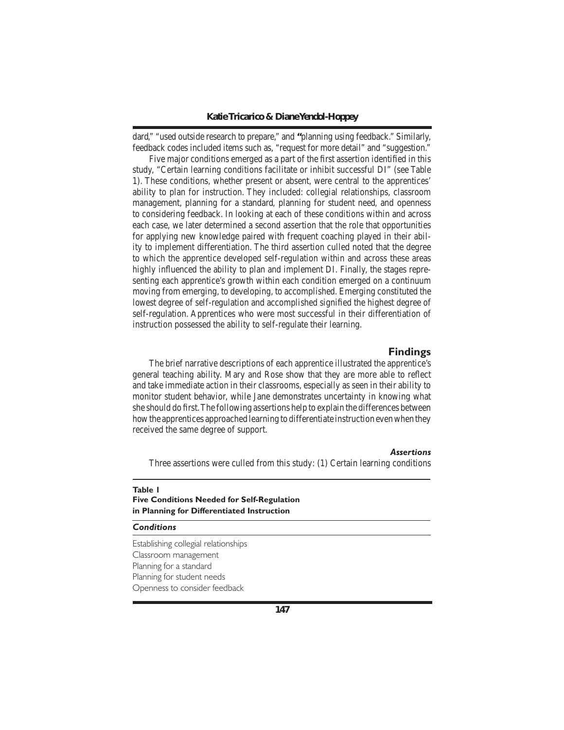dard," "used outside research to prepare," and **"**planning using feedback." Similarly, feedback codes included items such as, "request for more detail" and "suggestion."

 Five major conditions emerged as a part of the first assertion identified in this study, "Certain learning conditions facilitate or inhibit successful DI" (see Table 1). These conditions, whether present or absent, were central to the apprentices' ability to plan for instruction. They included: collegial relationships, classroom management, planning for a standard, planning for student need, and openness to considering feedback. In looking at each of these conditions within and across each case, we later determined a second assertion that the role that opportunities for applying new knowledge paired with frequent coaching played in their ability to implement differentiation. The third assertion culled noted that the degree to which the apprentice developed self-regulation within and across these areas highly influenced the ability to plan and implement DI. Finally, the stages representing each apprentice's growth within each condition emerged on a continuum moving from emerging, to developing, to accomplished. Emerging constituted the lowest degree of self-regulation and accomplished signified the highest degree of self-regulation. Apprentices who were most successful in their differentiation of instruction possessed the ability to self-regulate their learning.

## **Findings**

 The brief narrative descriptions of each apprentice illustrated the apprentice's general teaching ability. Mary and Rose show that they are more able to reflect and take immediate action in their classrooms, especially as seen in their ability to monitor student behavior, while Jane demonstrates uncertainty in knowing what she should do first.The following assertions help to explain the differences between howthe apprentices approached learning to differentiate instruction evenwhen they received the same degree of support.

### *Assertions*

Three assertions were culled from this study: (1) Certain learning conditions

## **Table 1 Five Conditions Needed for Self-Regulation in Planning for Differentiated Instruction**

## *Conditions*

Establishing collegial relationships Classroom management Planning for a standard Planning for student needs Openness to consider feedback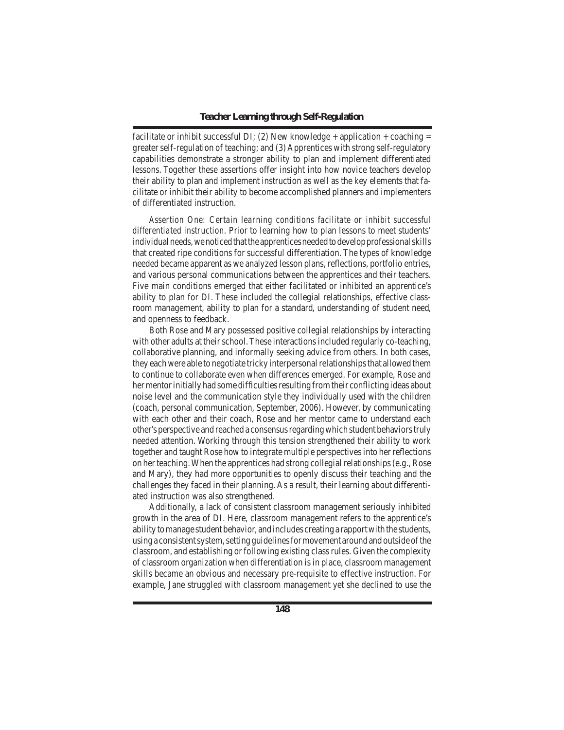facilitate or inhibit successful DI; (2) New knowledge + application + coaching = greaterself-regulation of teaching; and (3)Apprentices with strong self-regulatory capabilities demonstrate a stronger ability to plan and implement differentiated lessons. Together these assertions offer insight into how novice teachers develop their ability to plan and implement instruction as well as the key elements that facilitate or inhibit their ability to become accomplished planners and implementers of differentiated instruction.

*Assertion One: Certain learning conditions facilitate or inhibit successful differentiated instruction.* Prior to learning how to plan lessons to meet students' individual needs, we noticed that the apprentices needed to develop professional skills that created ripe conditions for successful differentiation. The types of knowledge needed became apparent as we analyzed lesson plans, reflections, portfolio entries, and various personal communications between the apprentices and their teachers. Five main conditions emerged that either facilitated or inhibited an apprentice's ability to plan for DI. These included the collegial relationships, effective classroom management, ability to plan for a standard, understanding of student need, and openness to feedback.

 Both Rose and Mary possessed positive collegial relationships by interacting with other adults at their school. These interactions included regularly co-teaching, collaborative planning, and informally seeking advice from others. In both cases, they each were able to negotiate tricky interpersonal relationships that allowed them to continue to collaborate even when differences emerged. For example, Rose and her mentor initially had some difficulties resulting from their conflicting ideas about noise level and the communication style they individually used with the children (coach, personal communication, September, 2006). However, by communicating with each other and their coach, Rose and her mentor came to understand each other's perspective and reached a consensusregardingwhich student behaviorstruly needed attention. Working through this tension strengthened their ability to work together and taught Rose how to integrate multiple perspectivesinto her reflections on her teaching.When the apprentices had strong collegial relationships(e.g., Rose and Mary), they had more opportunities to openly discuss their teaching and the challenges they faced in their planning. As a result, their learning about differentiated instruction was also strengthened.

 Additionally, a lack of consistent classroom management seriously inhibited growth in the area of DI. Here, classroom management refers to the apprentice's ability to manage student behavior, and includes creating a rapport with the students, using a consistent system, setting guidelines for movement around and outside of the classroom, and establishing or following existing classrules. Given the complexity of classroom organization when differentiation is in place, classroom management skills became an obvious and necessary pre-requisite to effective instruction. For example, Jane struggled with classroom management yet she declined to use the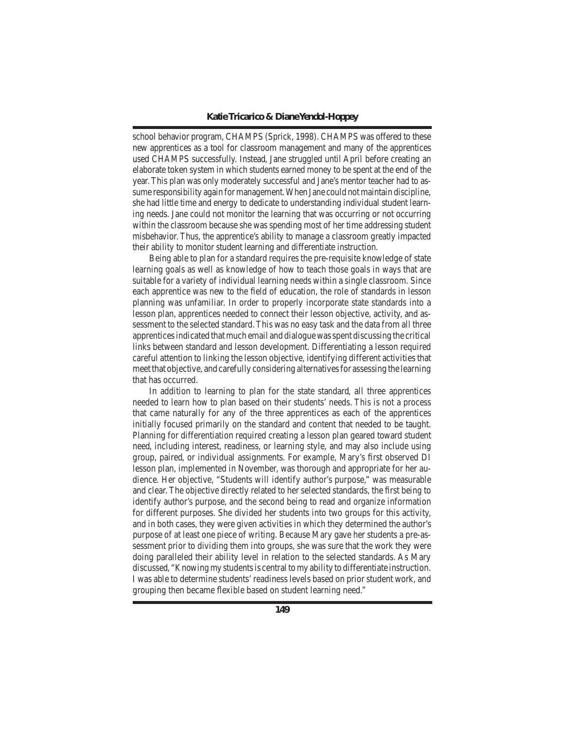school behavior program, CHAMPS (Sprick, 1998). CHAMPS was offered to these new apprentices as a tool for classroom management and many of the apprentices used CHAMPS successfully. Instead, Jane struggled until April before creating an elaborate token system in which students earned money to be spent at the end of the year. This plan was only moderately successful and Jane's mentor teacher had to assume responsibility again formanagement.When Jane could notmaintain discipline, she had little time and energy to dedicate to understanding individual student learning needs. Jane could not monitor the learning that was occurring or not occurring within the classroom because she was spending most of her time addressing student misbehavior. Thus, the apprentice's ability to manage a classroom greatly impacted their ability to monitor student learning and differentiate instruction.

 Being able to plan for a standard requires the pre-requisite knowledge of state learning goals as well as knowledge of how to teach those goals in ways that are suitable for a variety of individual learning needs within a single classroom. Since each apprentice was new to the field of education, the role of standards in lesson planning was unfamiliar. In order to properly incorporate state standards into a lesson plan, apprentices needed to connect their lesson objective, activity, and assessment to the selected standard.This was no easy task and the data from all three apprenticesindicated thatmuch email and dialoguewasspent discussing the critical links between standard and lesson development. Differentiating a lesson required careful attention to linking the lesson objective, identifying different activities that meet that objective, and carefully considering alternativesfor assessing the learning that has occurred.

 In addition to learning to plan for the state standard, all three apprentices needed to learn how to plan based on their students' needs. This is not a process that came naturally for any of the three apprentices as each of the apprentices initially focused primarily on the standard and content that needed to be taught. Planning for differentiation required creating a lesson plan geared toward student need, including interest, readiness, or learning style, and may also include using group, paired, or individual assignments. For example, Mary's first observed DI lesson plan, implemented in November, was thorough and appropriate for her audience. Her objective, "Students will identify author's purpose," was measurable and clear. The objective directly related to her selected standards, the first being to identify author's purpose, and the second being to read and organize information for different purposes. She divided her students into two groups for this activity, and in both cases, they were given activities in which they determined the author's purpose of at least one piece of writing. Because Mary gave her students a pre-assessment prior to dividing them into groups, she was sure that the work they were doing paralleled their ability level in relation to the selected standards. As Mary discussed, "Knowing my students is central to my ability to differentiate instruction. I was able to determine students'readiness levels based on prior student work, and grouping then became flexible based on student learning need."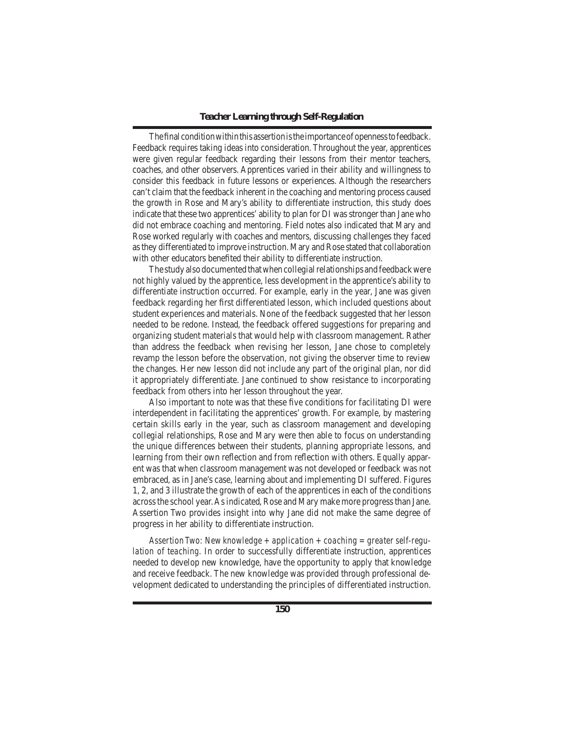## *Teacher Learning through Self-Regulation*

The final condition within this assertion is the importance of openness to feedback. Feedback requires taking ideas into consideration. Throughout the year, apprentices were given regular feedback regarding their lessons from their mentor teachers, coaches, and other observers. Apprentices varied in their ability and willingness to consider this feedback in future lessons or experiences. Although the researchers can't claim that the feedback inherent in the coaching and mentoring process caused the growth in Rose and Mary's ability to differentiate instruction, this study does indicate that these two apprentices' ability to plan for DI wasstronger than Jane who did not embrace coaching and mentoring. Field notes also indicated that Mary and Rose worked regularly with coaches and mentors, discussing challenges they faced as they differentiated to improve instruction. Mary and Rose stated that collaboration with other educators benefited their ability to differentiate instruction.

The study also documented that when collegial relationships and feedback were not highly valued by the apprentice, less development in the apprentice's ability to differentiate instruction occurred. For example, early in the year, Jane was given feedback regarding her first differentiated lesson, which included questions about student experiences and materials. None of the feedback suggested that her lesson needed to be redone. Instead, the feedback offered suggestions for preparing and organizing student materials that would help with classroom management. Rather than address the feedback when revising her lesson, Jane chose to completely revamp the lesson before the observation, not giving the observer time to review the changes. Her new lesson did not include any part of the original plan, nor did it appropriately differentiate. Jane continued to show resistance to incorporating feedback from others into her lesson throughout the year.

 Also important to note was that these five conditions for facilitating DI were interdependent in facilitating the apprentices' growth. For example, by mastering certain skills early in the year, such as classroom management and developing collegial relationships, Rose and Mary were then able to focus on understanding the unique differences between their students, planning appropriate lessons, and learning from their own reflection and from reflection with others. Equally apparent was that when classroom management was not developed or feedback was not embraced, as in Jane's case, learning about and implementing DI suffered. Figures 1, 2, and 3 illustrate the growth of each of the apprentices in each of the conditions acrossthe school year.Asindicated, Rose and Mary make more progressthan Jane. Assertion Two provides insight into why Jane did not make the same degree of progress in her ability to differentiate instruction.

*Assertion Two: New knowledge + application + coaching = greater self-regulation of teaching.* In order to successfully differentiate instruction, apprentices needed to develop new knowledge, have the opportunity to apply that knowledge and receive feedback. The new knowledge was provided through professional development dedicated to understanding the principles of differentiated instruction.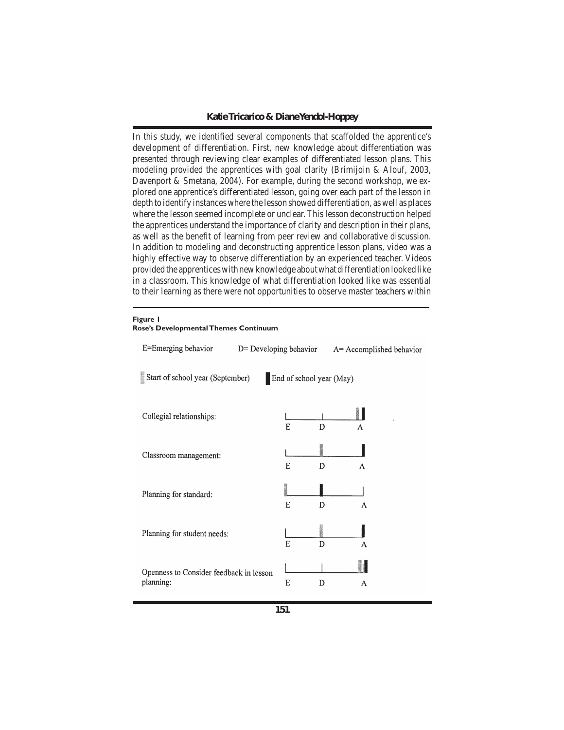In this study, we identified several components that scaffolded the apprentice's development of differentiation. First, new knowledge about differentiation was presented through reviewing clear examples of differentiated lesson plans. This modeling provided the apprentices with goal clarity (Brimijoin & Alouf, 2003, Davenport & Smetana, 2004). For example, during the second workshop, we explored one apprentice's differentiated lesson, going over each part of the lesson in depth to identify instances where the lesson showed differentiation, as well as places where the lesson seemed incomplete or unclear. This lesson deconstruction helped the apprentices understand the importance of clarity and description in their plans, as well as the benefit of learning from peer review and collaborative discussion. In addition to modeling and deconstructing apprentice lesson plans, video was a highly effective way to observe differentiation by an experienced teacher. Videos provided the apprentices with new knowledge about what differentiation looked like in a classroom. This knowledge of what differentiation looked like was essential to their learning as there were not opportunities to observe master teachers within

#### **Figure 1**

| E=Emerging behavior                                                      | D= Developing behavior | A= Accomplished behavior |  |  |  |
|--------------------------------------------------------------------------|------------------------|--------------------------|--|--|--|
| in 1979.<br>Start of school year (September)<br>End of school year (May) |                        |                          |  |  |  |
| Collegial relationships:                                                 | E                      | D<br>A                   |  |  |  |
| Classroom management:                                                    | E                      | D<br>A                   |  |  |  |
| Planning for standard:                                                   | E                      | D<br>A                   |  |  |  |
| Planning for student needs:                                              | E                      | D<br>A                   |  |  |  |
| Openness to Consider feedback in lesson<br>planning:                     | E                      | D<br>A                   |  |  |  |

**Rose's Developmental Themes Continuum**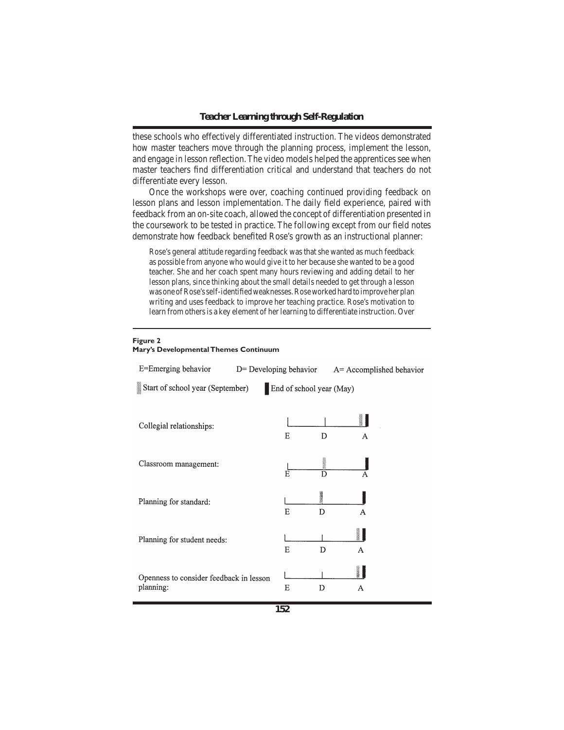these schools who effectively differentiated instruction. The videos demonstrated how master teachers move through the planning process, implement the lesson, and engage in lesson reflection.The video models helped the apprentices see when master teachers find differentiation critical and understand that teachers do not differentiate every lesson.

 Once the workshops were over, coaching continued providing feedback on lesson plans and lesson implementation. The daily field experience, paired with feedback from an on-site coach, allowed the concept of differentiation presented in the coursework to be tested in practice. The following except from our field notes demonstrate how feedback benefited Rose's growth as an instructional planner:

Rose's general attitude regarding feedback was that she wanted as much feedback as possible from anyone who would give it to her because she wanted to be a good teacher. She and her coach spent many hours reviewing and adding detail to her lesson plans, since thinking about the small details needed to get through a lesson wasoneofRose'sself-identifiedweaknesses.Roseworkedhardtoimproveherplan writing and uses feedback to improve her teaching practice. Rose's motivation to learn from others is a key element of her learning to differentiate instruction. Over

## **Figure 2**

| E=Emerging behavior                                  | $D$ Developing behavior |   |                          | $A=$ Accomplished behavior |  |  |
|------------------------------------------------------|-------------------------|---|--------------------------|----------------------------|--|--|
| Start of school year (September)                     |                         |   | End of school year (May) |                            |  |  |
| Collegial relationships:                             |                         | E | D                        | A                          |  |  |
| Classroom management:                                |                         | Ē | 第四枚数                     |                            |  |  |
| Planning for standard:                               |                         | E | 神話法<br>D                 | A                          |  |  |
| Planning for student needs:                          |                         | E | D                        | A                          |  |  |
| Openness to consider feedback in lesson<br>planning: |                         | E | D                        | A                          |  |  |

## **Mary's Developmental Themes Continuum**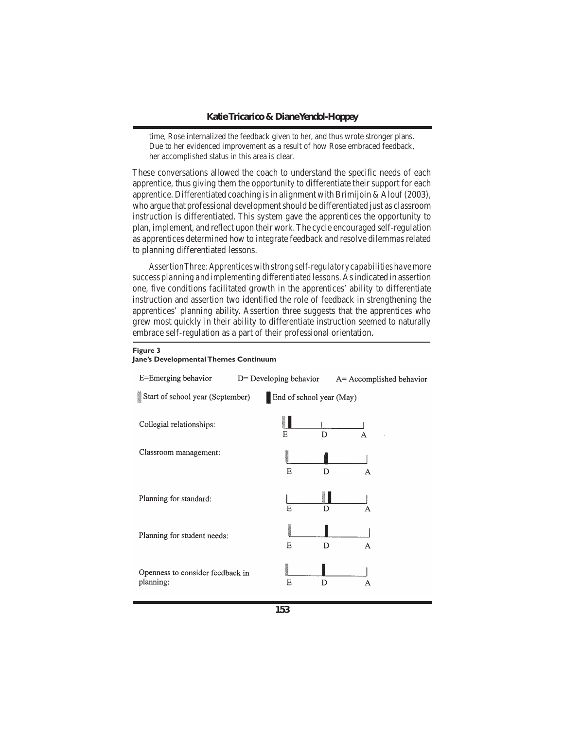time, Rose internalized the feedback given to her, and thus wrote stronger plans. Due to her evidenced improvement as a result of how Rose embraced feedback, her accomplished status in this area is clear.

These conversations allowed the coach to understand the specific needs of each apprentice, thus giving them the opportunity to differentiate their support for each apprentice. Differentiated coaching is in alignment with Brimijoin & Alouf (2003), who argue that professional developmentshould be differentiated just as classroom instruction is differentiated. This system gave the apprentices the opportunity to plan, implement, and reflect upon their work.The cycle encouraged self-regulation as apprentices determined how to integrate feedback and resolve dilemmas related to planning differentiated lessons.

*Assertion Three: Apprentices with strong self-regulatory capabilities have more success planning and implementing differentiated lessons.* Asindicated in assertion one, five conditions facilitated growth in the apprentices' ability to differentiate instruction and assertion two identified the role of feedback in strengthening the apprentices' planning ability. Assertion three suggests that the apprentices who grew most quickly in their ability to differentiate instruction seemed to naturally embrace self-regulation as a part of their professional orientation.

#### **Figure 3 Jane's Developmental Themes Continuum**

## E=Emerging behavior D= Developing behavior A= Accomplished behavior Start of school year (September) End of school year (May)  $\blacksquare$ Collegial relationships:  $\overline{\mathsf{n}}$  $\mathbf{E}$ Classroom management:  $\overline{E}$  $\overline{D}$ H Planning for standard:  $\mathbf{E}$ D Planning for student needs:  $\overline{E}$  $\overline{D}$ Openness to consider feedback in planning:  $E$ D  $\overline{A}$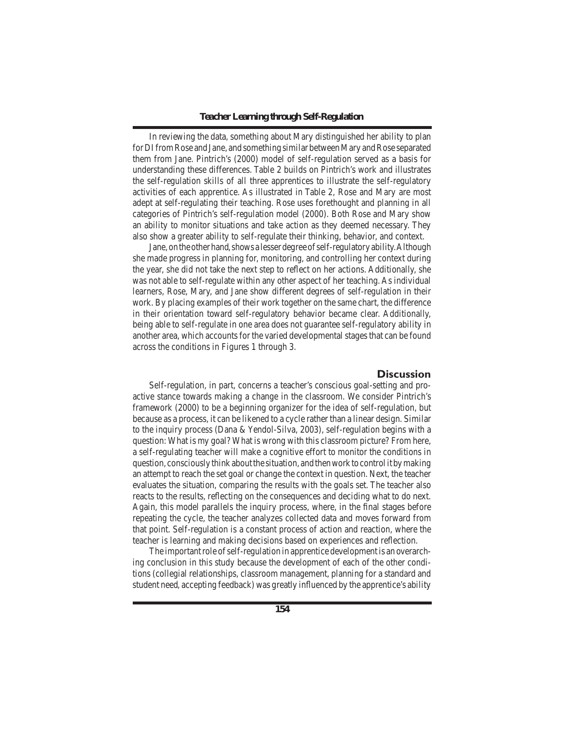In reviewing the data, something about Mary distinguished her ability to plan for DI from Rose and Jane, and something similar between Mary and Rose separated them from Jane. Pintrich's (2000) model of self-regulation served as a basis for understanding these differences. Table 2 builds on Pintrich's work and illustrates the self-regulation skills of all three apprentices to illustrate the self-regulatory activities of each apprentice. As illustrated in Table 2, Rose and Mary are most adept at self-regulating their teaching. Rose uses forethought and planning in all categories of Pintrich's self-regulation model (2000). Both Rose and Mary show an ability to monitor situations and take action as they deemed necessary. They also show a greater ability to self-regulate their thinking, behavior, and context.

Jane, on the other hand, shows a lesser degree of self-regulatory ability. Although she made progress in planning for, monitoring, and controlling her context during the year, she did not take the next step to reflect on her actions. Additionally, she was not able to self-regulate within any other aspect of her teaching. As individual learners, Rose, Mary, and Jane show different degrees of self-regulation in their work. By placing examples of their work together on the same chart, the difference in their orientation toward self-regulatory behavior became clear. Additionally, being able to self-regulate in one area does not guarantee self-regulatory ability in another area, which accounts for the varied developmental stages that can be found across the conditions in Figures 1 through 3.

## **Discussion**

Self-regulation, in part, concerns a teacher's conscious goal-setting and proactive stance towards making a change in the classroom. We consider Pintrich's framework (2000) to be a beginning organizer for the idea of self-regulation, but because as a process, it can be likened to a cycle rather than a linear design. Similar to the inquiry process (Dana & Yendol-Silva, 2003), self-regulation begins with a question: What is my goal? What is wrong with this classroom picture? From here, a self-regulating teacher will make a cognitive effort to monitor the conditions in question, consciouslythinkaboutthe situation, andthenworktocontrolitbymaking an attempt to reach the set goal or change the context in question. Next, the teacher evaluates the situation, comparing the results with the goals set. The teacher also reacts to the results, reflecting on the consequences and deciding what to do next. Again, this model parallels the inquiry process, where, in the final stages before repeating the cycle, the teacher analyzes collected data and moves forward from that point. Self-regulation is a constant process of action and reaction, where the teacher is learning and making decisions based on experiences and reflection.

The important role of self-regulation in apprentice development is an overarching conclusion in this study because the development of each of the other conditions (collegial relationships, classroom management, planning for a standard and student need, accepting feedback) was greatly influenced by the apprentice's ability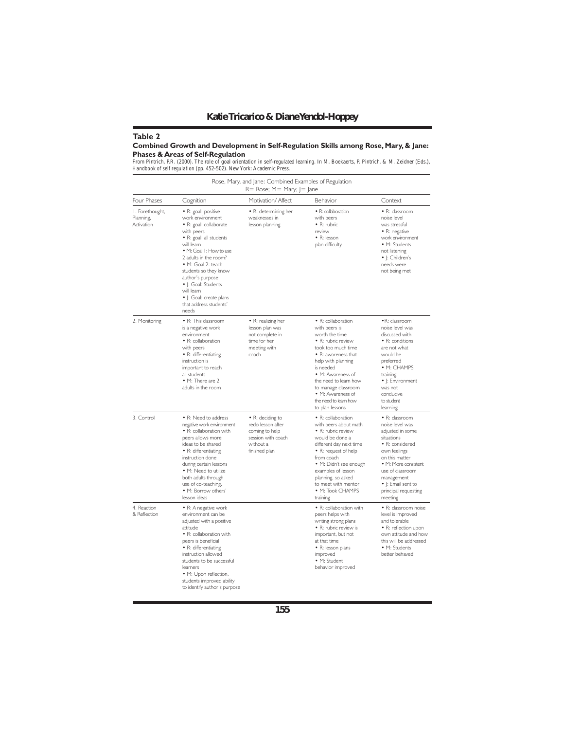## **Table 2**

## **Combined Growth and Development in Self-Regulation Skills among Rose, Mary, & Jane:**

**Phases & Areas of Self-Regulation**<br>From Pintrich, P.R. (2000). The role of goal orientation in self-regulated learning. In M. Boekaerts, P. Pintrich, & M. Zeidner (Eds.),<br>Handbook of self regulation (pp. 452-502). New Yor

|                                            |                                                                                                                                                                                                                                                                                                                                                    | $R = Rose$ ; $M = Mary$ ; $I = Jane$                                                                        |                                                                                                                                                                                                                                                                                                   |                                                                                                                                                                                                                                                                                                                                                                                             |  |
|--------------------------------------------|----------------------------------------------------------------------------------------------------------------------------------------------------------------------------------------------------------------------------------------------------------------------------------------------------------------------------------------------------|-------------------------------------------------------------------------------------------------------------|---------------------------------------------------------------------------------------------------------------------------------------------------------------------------------------------------------------------------------------------------------------------------------------------------|---------------------------------------------------------------------------------------------------------------------------------------------------------------------------------------------------------------------------------------------------------------------------------------------------------------------------------------------------------------------------------------------|--|
| Four Phases                                | Cognition                                                                                                                                                                                                                                                                                                                                          | Motivation/ Affect                                                                                          | Behavior                                                                                                                                                                                                                                                                                          | Context                                                                                                                                                                                                                                                                                                                                                                                     |  |
| I. Forethought,<br>Planning,<br>Activation | · R: goal: positive<br>work environment<br>• R: goal: collaborate<br>with peers<br>• R: goal: all students<br>will learn<br>· M: Goal I: How to use<br>2 adults in the room?<br>• M: Goal 2: teach<br>students so they know<br>author's purpose<br>•  : Goal: Students<br>will learn<br>•  : Goal: create plans<br>that address students'<br>needs | · R: determining her<br>weaknesses in<br>lesson planning                                                    | · R: collaboration<br>with peers<br>· R: rubric<br>review<br>• R: lesson<br>plan difficulty                                                                                                                                                                                                       | · R: classroom<br>noise level<br>was stressful<br>• R: negative<br>work environment<br>• M: Students<br>not listening<br>•  : Children's<br>needs were<br>not being met<br>· R: classroom<br>noise level was<br>discussed with<br>• R: conditions<br>are not what<br>would be<br>preferred<br>• M: CHAMPS<br>training<br>•  : Environment<br>was not<br>conducive<br>to student<br>learning |  |
| 2. Monitoring                              | · R: This classroom<br>is a negative work<br>environment<br>· R: collaboration<br>with peers<br>· R: differentiating<br>instruction is<br>important to reach<br>all students<br>• M: There are 2<br>adults in the room                                                                                                                             | • R: realizing her<br>lesson plan was<br>not complete in<br>time for her<br>meeting with<br>coach           | · R: collaboration<br>with peers is<br>worth the time<br>· R: rubric review<br>took too much time<br>• R: awareness that<br>help with planning<br>is needed<br>· M: Awareness of<br>the need to learn how<br>to manage classroom<br>• M: Awareness of<br>the need to learn how<br>to plan lessons |                                                                                                                                                                                                                                                                                                                                                                                             |  |
| 3. Control                                 | • R: Need to address<br>negative work environment<br>· R: collaboration with<br>peers allows more<br>ideas to be shared<br>• R: differentiating<br>instruction done<br>during certain lessons<br>• M: Need to utilize<br>both adults through<br>use of co-teaching.<br>• M: Borrow others'<br>lesson ideas                                         | • R: deciding to<br>redo lesson after<br>coming to help<br>session with coach<br>without a<br>finished plan | · R: collaboration<br>with peers about math<br>· R: rubric review<br>would be done a<br>different day next time<br>• R: request of help<br>from coach<br>· M: Didn't see enough<br>examples of lesson<br>planning, so asked<br>to meet with mentor<br>• M: Took CHAMPS<br>training                | · R: classroom<br>noise level was<br>adjusted in some<br>situations<br>• R: considered<br>own feelings<br>on this matter<br>· M: More consistent<br>use of classroom<br>management<br>•  : Email sent to<br>principal requesting<br>meeting                                                                                                                                                 |  |
| 4. Reaction<br>& Reflection                | • R: A negative work<br>environment can be<br>adjusted with a positive<br>attitude<br>• R: collaboration with<br>peers is beneficial<br>• R: differentiating<br>instruction allowed<br>students to be successful<br>learners<br>· M: Upon reflection,<br>students improved ability<br>to identify author's purpose                                 |                                                                                                             | · R: collaboration with<br>peers helps with<br>writing strong plans<br>· R: rubric review is<br>important, but not<br>at that time<br>· R: lesson plans<br>improved<br>· M: Student<br>behavior improved                                                                                          | · R: classroom noise<br>level is improved<br>and tolerable<br>· R: reflection upon<br>own attitude and how<br>this will be addressed<br>• M: Students<br>better behaved                                                                                                                                                                                                                     |  |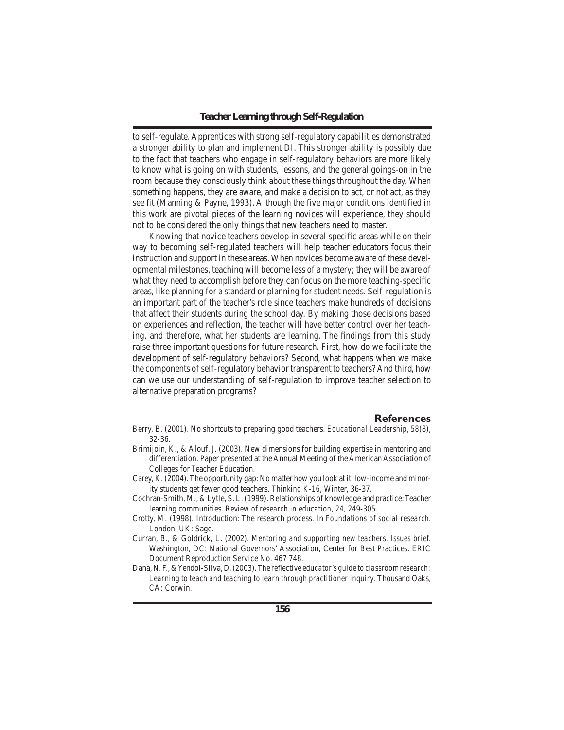to self-regulate. Apprentices with strong self-regulatory capabilities demonstrated a stronger ability to plan and implement DI. This stronger ability is possibly due to the fact that teachers who engage in self-regulatory behaviors are more likely to know what is going on with students, lessons, and the general goings-on in the room because they consciously think about these things throughout the day. When something happens, they are aware, and make a decision to act, or not act, as they see fit (Manning & Payne, 1993). Although the five major conditions identified in this work are pivotal pieces of the learning novices will experience, they should not to be considered the only things that new teachers need to master.

 Knowing that novice teachers develop in several specific areas while on their way to becoming self-regulated teachers will help teacher educators focus their instruction and support in these areas. When novices become aware of these developmental milestones, teaching will become less of a mystery; they will be aware of what they need to accomplish before they can focus on the more teaching-specific areas, like planning for a standard or planning for student needs. Self-regulation is an important part of the teacher's role since teachers make hundreds of decisions that affect their students during the school day. By making those decisions based on experiences and reflection, the teacher will have better control over her teaching, and therefore, what her students are learning. The findings from this study raise three important questions for future research. First, how do we facilitate the development of self-regulatory behaviors? Second, what happens when we make the components of self-regulatory behavior transparent to teachers? And third, how can we use our understanding of self-regulation to improve teacher selection to alternative preparation programs?

## **References**

- Berry, B. (2001). No shortcuts to preparing good teachers. *Educational Leadership, 58*(8), 32-36.
- Brimijoin, K., & Alouf, J. (2003). New dimensions for building expertise in mentoring and differentiation. Paper presented at the Annual Meeting of the American Association of Colleges for Teacher Education.
- Carey, K. (2004).The opportunity gap: No matter how you look at it, low-income and minority students get fewer good teachers. *Thinking K-16,* Winter, 36-37.
- Cochran-Smith, M., & Lytle, S. L. (1999). Relationships of knowledge and practice: Teacher learning communities. *Review of research in education, 24*, 249-305.
- Crotty, M. (1998). Introduction: The research process. In *Foundations of social research*. London, UK: Sage.
- Curran, B., & Goldrick, L. (2002). *Mentoring and supporting new teachers. Issues brief.* Washington, DC: National Governors' Association, Center for Best Practices. ERIC Document Reproduction Service No. 467 748.
- Dana,N.F.,&Yendol-Silva,D.(2003).*The reflective educator's guide to classroom research: Learning to teach and teaching to learn through practitioner inquiry*. Thousand Oaks, CA: Corwin.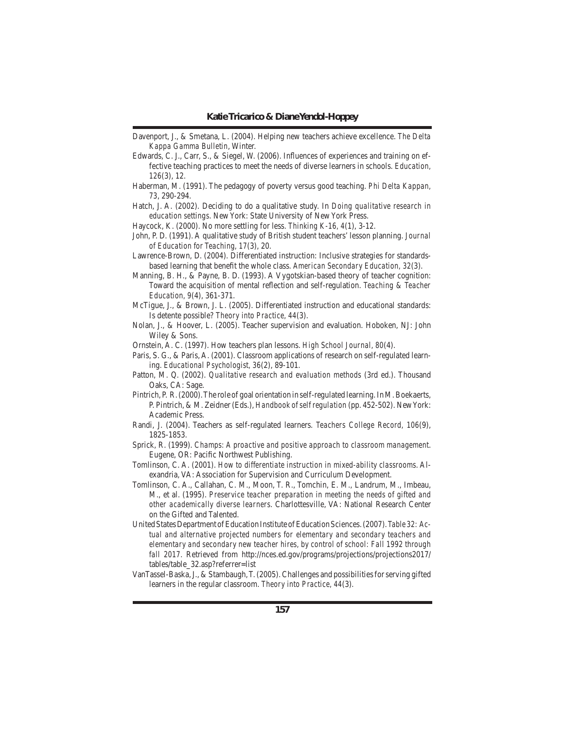- Davenport, J., & Smetana, L. (2004). Helping new teachers achieve excellence. *The Delta Kappa Gamma Bulletin*, Winter.
- Edwards, C. J., Carr, S., & Siegel, W. (2006). Influences of experiences and training on effective teaching practices to meet the needs of diverse learners in schools. *Education, 126*(3), 12.
- Haberman, M. (1991). The pedagogy of poverty versus good teaching. *Phi Delta Kappan, 73*, 290-294.
- Hatch, J. A. (2002). Deciding to do a qualitative study. In *Doing qualitative research in education settings*. New York: State University of New York Press.
- Haycock, K. (2000). No more settling for less. *Thinking K-16, 4*(1), 3-12.
- John, P. D. (1991). A qualitative study of British student teachers'lesson planning. *Journal of Education for Teaching, 17*(3), 20.
- Lawrence-Brown, D. (2004). Differentiated instruction: Inclusive strategies for standardsbased learning that benefit the whole class. *American Secondary Education, 32*(3).
- Manning, B. H., & Payne, B. D. (1993). A Vygotskian-based theory of teacher cognition: Toward the acquisition of mental reflection and self-regulation. *Teaching & Teacher Education, 9*(4), 361-371.
- McTigue, J., & Brown, J. L. (2005). Differentiated instruction and educational standards: Is detente possible? *Theory into Practice, 44*(3).
- Nolan, J., & Hoover, L. (2005). Teacher supervision and evaluation. Hoboken, NJ: John Wiley & Sons.
- Ornstein, A. C. (1997). How teachers plan lessons. *High School Journal, 80*(4).
- Paris, S. G., & Paris, A. (2001). Classroom applications of research on self-regulated learning. *Educational Psychologist, 36*(2), 89-101.
- Patton, M. Q. (2002). *Qualitative research and evaluation methods* (3rd ed.). Thousand Oaks, CA: Sage.
- Pintrich, P. R. (2000). The role of goal orientation in self-regulated learning. In M. Boekaerts, P. Pintrich, & M. Zeidner (Eds.), *Handbook of self regulation* (pp. 452-502). NewYork: Academic Press.
- Randi, J. (2004). Teachers as self-regulated learners. *Teachers College Record, 106*(9), 1825-1853.
- Sprick, R. (1999). *Champs: A proactive and positive approach to classroom management*. Eugene, OR: Pacific Northwest Publishing.
- Tomlinson, C. A. (2001). *How to differentiate instruction in mixed-ability classrooms*. Alexandria, VA: Association for Supervision and Curriculum Development.
- Tomlinson, C. A., Callahan, C. M., Moon, T. R., Tomchin, E. M., Landrum, M., Imbeau, M., et al. (1995). *Preservice teacher preparation in meeting the needs of gifted and other academically diverse learners*. Charlottesville, VA: National Research Center on the Gifted and Talented.
- United States Department of Education Institute of Education Sciences. (2007). Table 32: Ac*tual and alternative projected numbers for elementary and secondary teachers and elementary and secondary new teacher hires, by control of school: Fall 1992 through fall 2017.* Retrieved from http://nces.ed.gov/programs/projections/projections2017/ tables/table\_32.asp?referrer=list
- VanTassel-Baska,J., & Stambaugh,T.(2005).Challenges and possibilitiesforserving gifted learners in the regular classroom. *Theory into Practice, 44*(3).